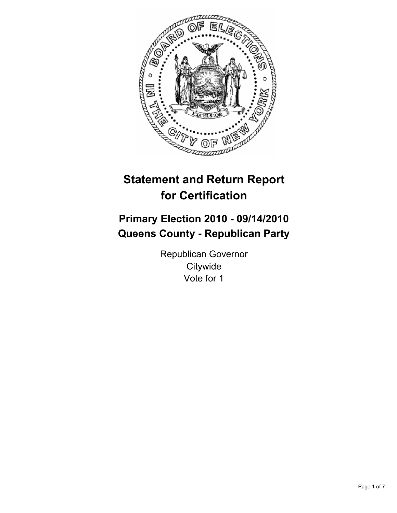

# **Statement and Return Report for Certification**

# **Primary Election 2010 - 09/14/2010 Queens County - Republican Party**

Republican Governor **Citywide** Vote for 1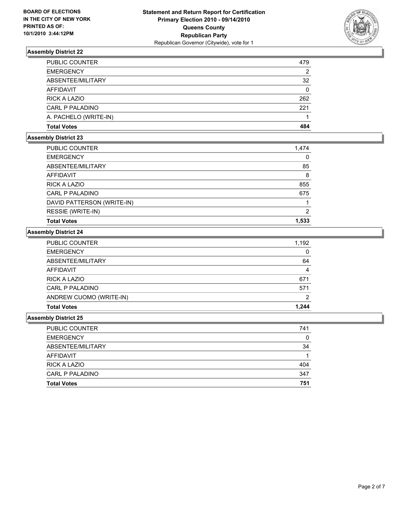

| <b>PUBLIC COUNTER</b>  | 479 |
|------------------------|-----|
| <b>EMERGENCY</b>       | 2   |
| ABSENTEE/MILITARY      | 32  |
| AFFIDAVIT              | 0   |
| <b>RICK A LAZIO</b>    | 262 |
| <b>CARL P PALADINO</b> | 221 |
| A. PACHELO (WRITE-IN)  |     |
| <b>Total Votes</b>     | 484 |

# **Assembly District 23**

| <b>PUBLIC COUNTER</b>      | 1,474 |
|----------------------------|-------|
| <b>EMERGENCY</b>           | 0     |
| ABSENTEE/MILITARY          | 85    |
| AFFIDAVIT                  | 8     |
| RICK A LAZIO               | 855   |
| CARL P PALADINO            | 675   |
| DAVID PATTERSON (WRITE-IN) |       |
| RESSIE (WRITE-IN)          | 2     |
| <b>Total Votes</b>         | 1,533 |

#### **Assembly District 24**

| <b>PUBLIC COUNTER</b>   | 1,192        |
|-------------------------|--------------|
| <b>EMERGENCY</b>        | $\mathbf{0}$ |
| ABSENTEE/MILITARY       | 64           |
| AFFIDAVIT               | 4            |
| <b>RICK A LAZIO</b>     | 671          |
| CARL P PALADINO         | 571          |
| ANDREW CUOMO (WRITE-IN) | 2            |
| <b>Total Votes</b>      | 1.244        |

| <b>PUBLIC COUNTER</b> | 741 |
|-----------------------|-----|
| <b>EMERGENCY</b>      | 0   |
| ABSENTEE/MILITARY     | 34  |
| AFFIDAVIT             |     |
| RICK A LAZIO          | 404 |
| CARL P PALADINO       | 347 |
| <b>Total Votes</b>    | 751 |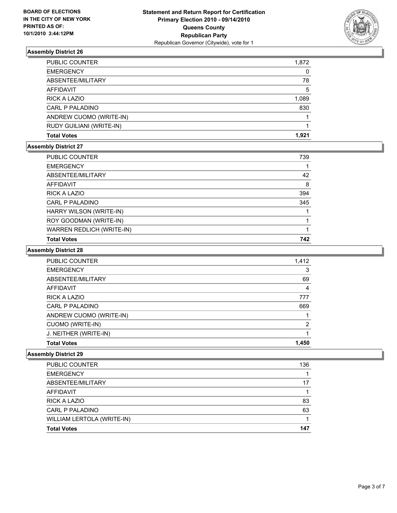

| <b>PUBLIC COUNTER</b>    | 1,872 |
|--------------------------|-------|
| <b>EMERGENCY</b>         | 0     |
| ABSENTEE/MILITARY        | 78    |
| <b>AFFIDAVIT</b>         | 5     |
| <b>RICK A LAZIO</b>      | 1,089 |
| CARL P PALADINO          | 830   |
| ANDREW CUOMO (WRITE-IN)  |       |
| RUDY GUILIANI (WRITE-IN) |       |
| <b>Total Votes</b>       | 1.921 |

#### **Assembly District 27**

| PUBLIC COUNTER            | 739 |
|---------------------------|-----|
| <b>EMERGENCY</b>          |     |
| ABSENTEE/MILITARY         | 42  |
| <b>AFFIDAVIT</b>          | 8   |
| <b>RICK A LAZIO</b>       | 394 |
| CARL P PALADINO           | 345 |
| HARRY WILSON (WRITE-IN)   |     |
| ROY GOODMAN (WRITE-IN)    |     |
| WARREN REDLICH (WRITE-IN) |     |
| <b>Total Votes</b>        | 742 |

### **Assembly District 28**

| <b>PUBLIC COUNTER</b>   | 1,412 |
|-------------------------|-------|
| <b>EMERGENCY</b>        | 3     |
| ABSENTEE/MILITARY       | 69    |
| <b>AFFIDAVIT</b>        | 4     |
| RICK A LAZIO            | 777   |
| CARL P PALADINO         | 669   |
| ANDREW CUOMO (WRITE-IN) |       |
| CUOMO (WRITE-IN)        | 2     |
| J. NEITHER (WRITE-IN)   |       |
| <b>Total Votes</b>      | 1.450 |

| <b>Total Votes</b>         | 147 |
|----------------------------|-----|
| WILLIAM LERTOLA (WRITE-IN) |     |
| CARL P PALADINO            | 63  |
| <b>RICK A LAZIO</b>        | 83  |
| <b>AFFIDAVIT</b>           |     |
| ABSENTEE/MILITARY          | 17  |
| <b>EMERGENCY</b>           |     |
| PUBLIC COUNTER             | 136 |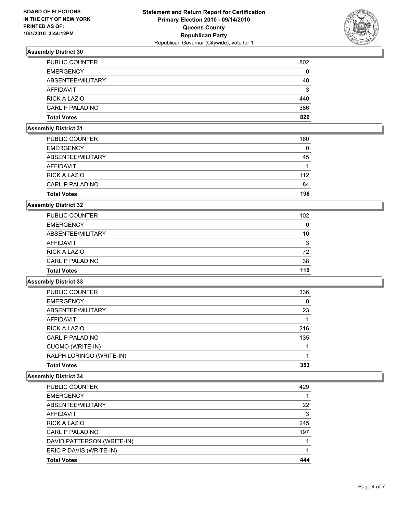

| <b>Total Votes</b>    | 826 |
|-----------------------|-----|
| CARL P PALADINO       | 386 |
| <b>RICK A LAZIO</b>   | 440 |
| AFFIDAVIT             | 3   |
| ABSENTEE/MILITARY     | 40  |
| <b>EMERGENCY</b>      | 0   |
| <b>PUBLIC COUNTER</b> | 802 |

### **Assembly District 31**

| 196 |
|-----|
| 84  |
| 112 |
|     |
| 45  |
| 0   |
| 160 |
|     |

#### **Assembly District 32**

| <b>PUBLIC COUNTER</b> | 102 |
|-----------------------|-----|
| <b>EMERGENCY</b>      | 0   |
| ABSENTEE/MILITARY     | 10  |
| AFFIDAVIT             | 3   |
| <b>RICK A LAZIO</b>   | 72  |
| CARL P PALADINO       | 38  |
| <b>Total Votes</b>    | 110 |

#### **Assembly District 33**

| <b>PUBLIC COUNTER</b>    | 336 |
|--------------------------|-----|
| <b>EMERGENCY</b>         | 0   |
| ABSENTEE/MILITARY        | 23  |
| AFFIDAVIT                |     |
| <b>RICK A LAZIO</b>      | 216 |
| CARL P PALADINO          | 135 |
| <b>CUOMO (WRITE-IN)</b>  |     |
| RALPH LORINGO (WRITE-IN) |     |
| <b>Total Votes</b>       | 353 |

| <b>Total Votes</b>         | 444 |
|----------------------------|-----|
| ERIC P DAVIS (WRITE-IN)    |     |
| DAVID PATTERSON (WRITE-IN) |     |
| CARL P PALADINO            | 197 |
| <b>RICK A LAZIO</b>        | 245 |
| <b>AFFIDAVIT</b>           | 3   |
| ABSENTEE/MILITARY          | 22  |
| <b>EMERGENCY</b>           |     |
| <b>PUBLIC COUNTER</b>      | 429 |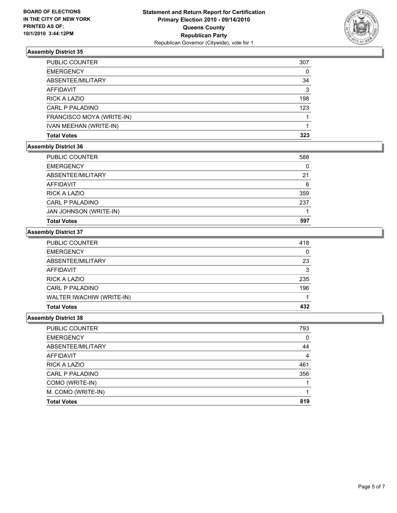

| <b>PUBLIC COUNTER</b>     | 307 |
|---------------------------|-----|
| <b>EMERGENCY</b>          | 0   |
| ABSENTEE/MILITARY         | 34  |
| AFFIDAVIT                 | 3   |
| RICK A LAZIO              | 198 |
| CARL P PALADINO           | 123 |
| FRANCISCO MOYA (WRITE-IN) |     |
| IVAN MEEHAN (WRITE-IN)    |     |
| <b>Total Votes</b>        | 323 |

#### **Assembly District 36**

| <b>EMERGENCY</b>       | 0   |
|------------------------|-----|
| ABSENTEE/MILITARY      | 21  |
| AFFIDAVIT              | 6   |
| <b>RICK A LAZIO</b>    | 359 |
| CARL P PALADINO        | 237 |
| JAN JOHNSON (WRITE-IN) |     |
| <b>Total Votes</b>     | 597 |

#### **Assembly District 37**

| <b>PUBLIC COUNTER</b>     | 418 |
|---------------------------|-----|
| <b>EMERGENCY</b>          | 0   |
| ABSENTEE/MILITARY         | 23  |
| AFFIDAVIT                 | 3   |
| RICK A LAZIO              | 235 |
| CARL P PALADINO           | 196 |
| WALTER IWACHIW (WRITE-IN) |     |
| <b>Total Votes</b>        | 432 |

| <b>PUBLIC COUNTER</b> | 793            |
|-----------------------|----------------|
| <b>EMERGENCY</b>      | 0              |
| ABSENTEE/MILITARY     | 44             |
| AFFIDAVIT             | $\overline{4}$ |
| RICK A LAZIO          | 461            |
| CARL P PALADINO       | 356            |
| COMO (WRITE-IN)       |                |
| M. COMO (WRITE-IN)    |                |
| <b>Total Votes</b>    | 819            |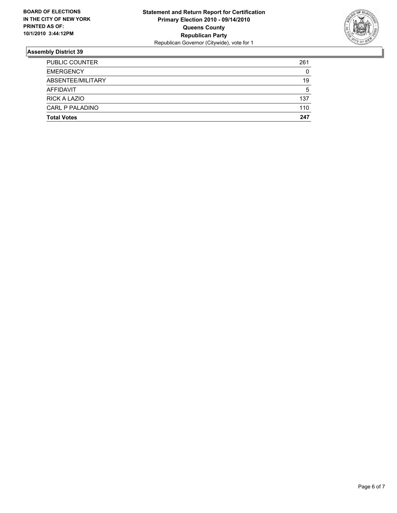

| <b>Total Votes</b>     | 247 |
|------------------------|-----|
| <b>CARL P PALADINO</b> | 110 |
| <b>RICK A LAZIO</b>    | 137 |
| AFFIDAVIT              | 5   |
| ABSENTEE/MILITARY      | 19  |
| <b>EMERGENCY</b>       | 0   |
| <b>PUBLIC COUNTER</b>  | 261 |